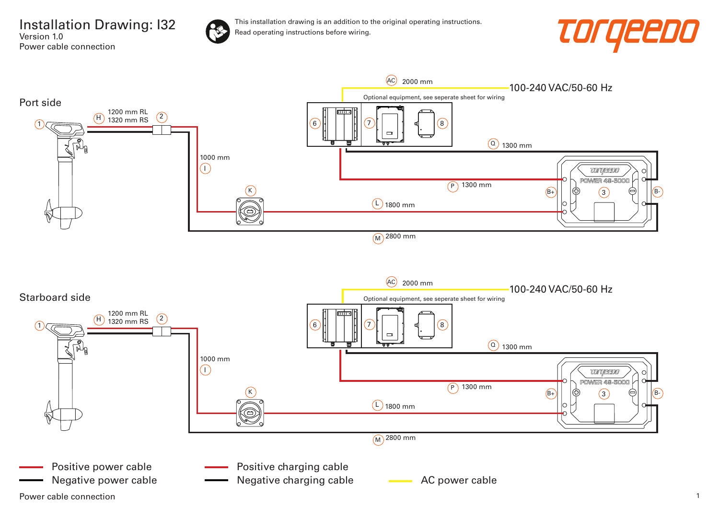Installation Drawing: I32 Version 1.0 Power cable connection



This installation drawing is an addition to the original operating instructions. Read operating instructions before wiring.



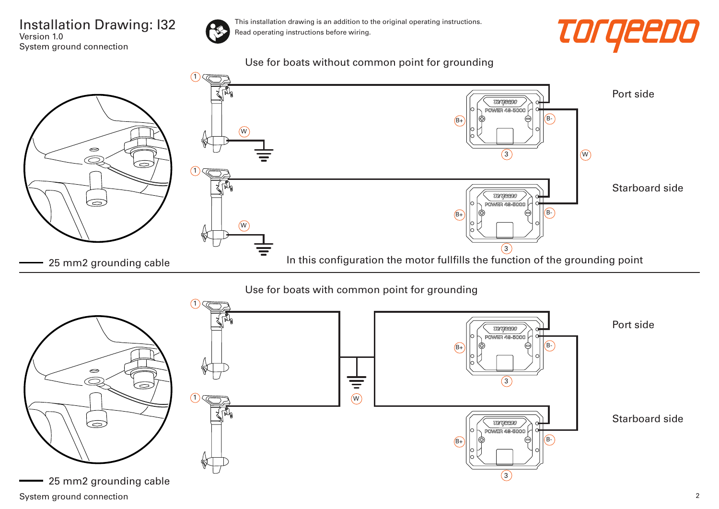## Installation Drawing: I32 Version 1.0 System ground connection



This installation drawing is an addition to the original operating instructions. Read operating instructions before wiring.



Use for boats without common point for grounding

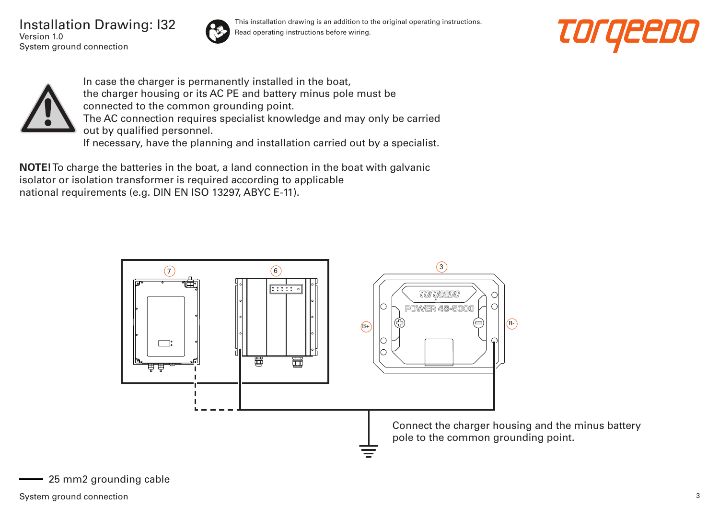Installation Drawing: I32 Version 1.0 System ground connection



This installation drawing is an addition to the original operating instructions. Read operating instructions before wiring.





In case the charger is permanently installed in the boat, the charger housing or its AC PE and battery minus pole must be connected to the common grounding point. The AC connection requires specialist knowledge and may only be carried out by qualified personnel. If necessary, have the planning and installation carried out by a specialist.

**NOTE!** To charge the batteries in the boat, a land connection in the boat with galvanic isolator or isolation transformer is required according to applicable national requirements (e.g. DIN EN ISO 13297, ABYC E-11).

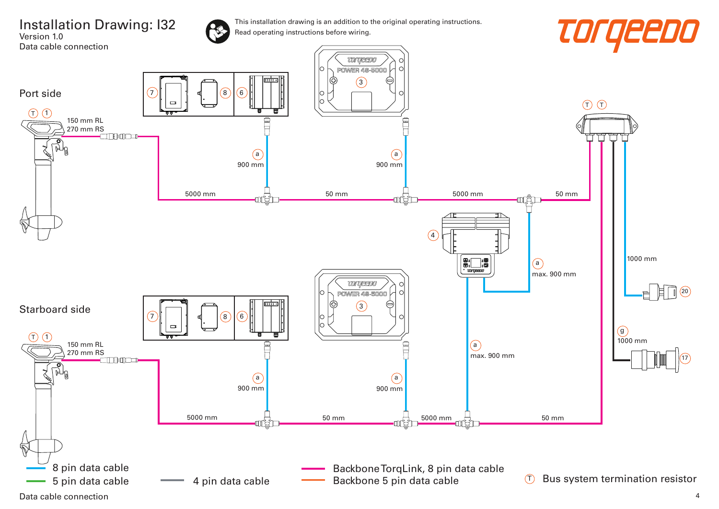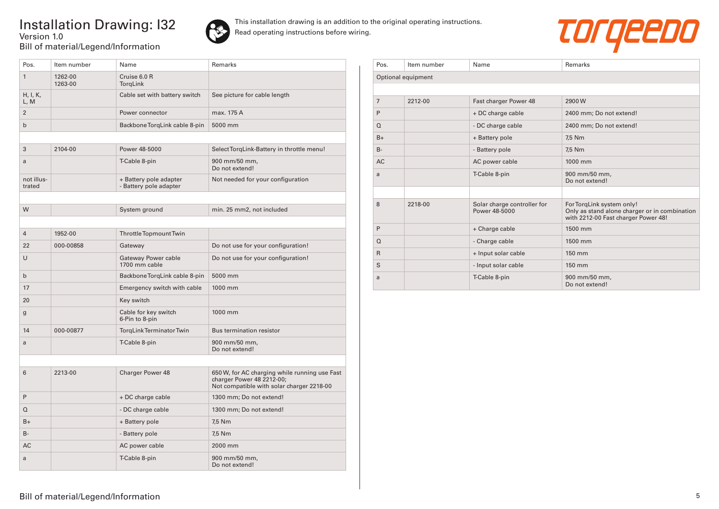## Installation Drawing: I32 Version 1.0 Bill of material/Legend/Information



This installation drawing is an addition to the original operating instructions. Read operating instructions before wiring.



| Pos.                 | Item number        | Name                                             | <b>Remarks</b>                                                                                                          |
|----------------------|--------------------|--------------------------------------------------|-------------------------------------------------------------------------------------------------------------------------|
| $\mathbf{1}$         | 1262-00<br>1263-00 | Cruise 6.0 R<br>TorgLink                         |                                                                                                                         |
| H, I, K,<br>L, M     |                    | Cable set with battery switch                    | See picture for cable length                                                                                            |
| $\overline{2}$       |                    | Power connector                                  | max. 175 A                                                                                                              |
| $\mathsf{b}$         |                    | Backbone TorgLink cable 8-pin                    | 5000 mm                                                                                                                 |
|                      |                    |                                                  |                                                                                                                         |
| 3                    | 2104-00            | Power 48-5000                                    | Select TorqLink-Battery in throttle menu!                                                                               |
| a                    |                    | T-Cable 8-pin                                    | 900 mm/50 mm,<br>Do not extend!                                                                                         |
| not illus-<br>trated |                    | + Battery pole adapter<br>- Battery pole adapter | Not needed for your configuration                                                                                       |
|                      |                    |                                                  |                                                                                                                         |
| W                    |                    | System ground                                    | min. 25 mm2, not included                                                                                               |
|                      |                    |                                                  |                                                                                                                         |
| $\overline{4}$       | 1952-00            | Throttle Topmount Twin                           |                                                                                                                         |
| 22                   | 000-00858          | Gateway                                          | Do not use for your configuration!                                                                                      |
| U                    |                    | Gateway Power cable<br>1700 mm cable             | Do not use for your configuration!                                                                                      |
| $\mathsf{b}$         |                    | Backbone TorgLink cable 8-pin                    | 5000 mm                                                                                                                 |
| 17                   |                    | Emergency switch with cable                      | 1000 mm                                                                                                                 |
| 20                   |                    | Key switch                                       |                                                                                                                         |
| $\mathbf g$          |                    | Cable for key switch<br>6-Pin to 8-pin           | 1000 mm                                                                                                                 |
| 14                   | 000-00877          | TorgLink Terminator Twin                         | Bus termination resistor                                                                                                |
| a                    |                    | T-Cable 8-pin                                    | 900 mm/50 mm,<br>Do not extend!                                                                                         |
|                      |                    |                                                  |                                                                                                                         |
| 6                    | 2213-00            | <b>Charger Power 48</b>                          | 650 W, for AC charging while running use Fast<br>charger Power 48 2212-00;<br>Not compatible with solar charger 2218-00 |
| P                    |                    | + DC charge cable                                | 1300 mm; Do not extend!                                                                                                 |
| Q                    |                    | - DC charge cable                                | 1300 mm; Do not extend!                                                                                                 |
| $B+$                 |                    | + Battery pole                                   | 7,5 Nm                                                                                                                  |
| $B -$                |                    | - Battery pole                                   | 7,5 Nm                                                                                                                  |
| AC                   |                    | AC power cable                                   | 2000 mm                                                                                                                 |
| a                    |                    | T-Cable 8-pin                                    | 900 mm/50 mm,<br>Do not extend!                                                                                         |

| Pos.           | Item number        | Name                                         | Remarks                                                                                                           |
|----------------|--------------------|----------------------------------------------|-------------------------------------------------------------------------------------------------------------------|
|                | Optional equipment |                                              |                                                                                                                   |
|                |                    |                                              |                                                                                                                   |
| $\overline{7}$ | 2212-00            | Fast charger Power 48                        | 2900W                                                                                                             |
| P              |                    | + DC charge cable                            | 2400 mm; Do not extend!                                                                                           |
| $\Omega$       |                    | - DC charge cable                            | 2400 mm; Do not extend!                                                                                           |
| $B+$           |                    | + Battery pole                               | 7,5 Nm                                                                                                            |
| $B -$          |                    | - Battery pole                               | 7,5 Nm                                                                                                            |
| <b>AC</b>      |                    | AC power cable                               | 1000 mm                                                                                                           |
| a              |                    | T-Cable 8-pin                                | 900 mm/50 mm,<br>Do not extend!                                                                                   |
|                |                    |                                              |                                                                                                                   |
| 8              | 2218-00            | Solar charge controller for<br>Power 48-5000 | For TorqLink system only!<br>Only as stand alone charger or in combination<br>with 2212-00 Fast charger Power 48! |
| P              |                    | + Charge cable                               | 1500 mm                                                                                                           |
| $\Omega$       |                    | - Charge cable                               | 1500 mm                                                                                                           |
| $\mathsf{R}$   |                    | + Input solar cable                          | 150 mm                                                                                                            |
| S              |                    | - Input solar cable                          | 150 mm                                                                                                            |
| a              |                    | T-Cable 8-pin                                | 900 mm/50 mm,<br>Do not extend!                                                                                   |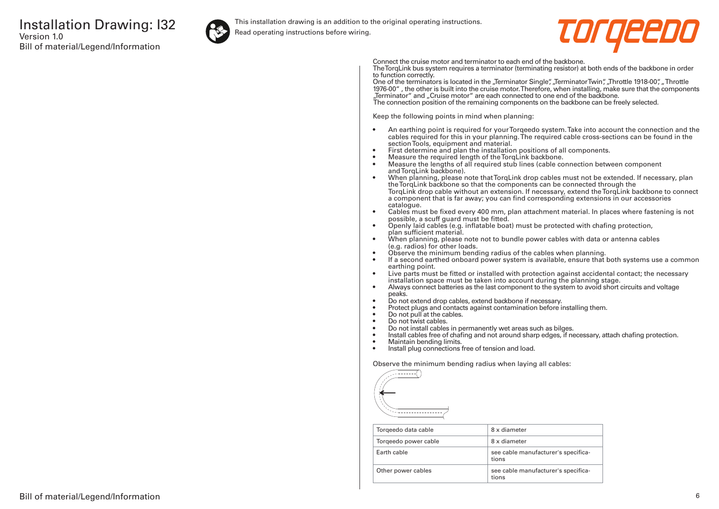

This installation drawing is an addition to the original operating instructions.

Read operating instructions before wiring.



Connect the cruise motor and terminator to each end of the backbone.

The TorqLink bus system requires a terminator (terminating resistor) at both ends of the backbone in order to function correctly.

One of the terminators is located in the "Terminator Single", "Terminator Twin", "Throttle 1918-00", "Throttle 1976-00" , the other is built into the cruise motor. Therefore, when installing, make sure that the components "Terminator" and "Cruise motor" are each connected to one end of the backbone. The connection position of the remaining components on the backbone can be freely selected.

Keep the following points in mind when planning:

- An earthing point is required for your Torqeedo system. Take into account the connection and the cables required for this in your planning. The required cable cross-sections can be found in the section Tools, equipment and material.
- First determine and plan the installation positions of all components.
- Measure the required length of the TorqLink backbone.<br>• Measure the lengths of all required stub lines (cable co
- Measure the lengths of all required stub lines (cable connection between component and TorqLink backbone).
- When planning, please note that TorqLink drop cables must not be extended. If necessary, plan the TorqLink backbone so that the components can be connected through the TorqLink drop cable without an extension. If necessary, extend the TorqLink backbone to connect a component that is far away; you can find corresponding extensions in our accessories catalogue.
- Cables must be fixed every 400 mm, plan attachment material. In places where fastening is not possible, a scuff guard must be fitted.
- Openly laid cables (e.g. inflatable boat) must be protected with chafing protection, plan sufficient material.
- When planning, please note not to bundle power cables with data or antenna cables (e.g. radios) for other loads.
- Observe the minimum bending radius of the cables when planning.
- If a second earthed onboard power system is available, ensure that both systems use a common earthing point.
- Live parts must be fitted or installed with protection against accidental contact; the necessary installation space must be taken into account during the planning stage.
- Always connect batteries as the last component to the system to avoid short circuits and voltage peaks.
- Do not extend drop cables, extend backbone if necessary.
- Protect plugs and contacts against contamination before installing them.
- Do not pull at the cables.
- Do not twist cables.
- Do not install cables in permanently wet areas such as bilges.
- Install cables free of chafing and not around sharp edges, if necessary, attach chafing protection.<br>• Maintain bending limits
- Maintain bending limits.
- Install plug connections free of tension and load.

Observe the minimum bending radius when laying all cables:



| Torgeedo data cable  | 8 x diameter                                 |
|----------------------|----------------------------------------------|
| Torgeedo power cable | 8 x diameter                                 |
| Farth cable          | see cable manufacturer's specifica-<br>tions |
| Other power cables   | see cable manufacturer's specifica-<br>tions |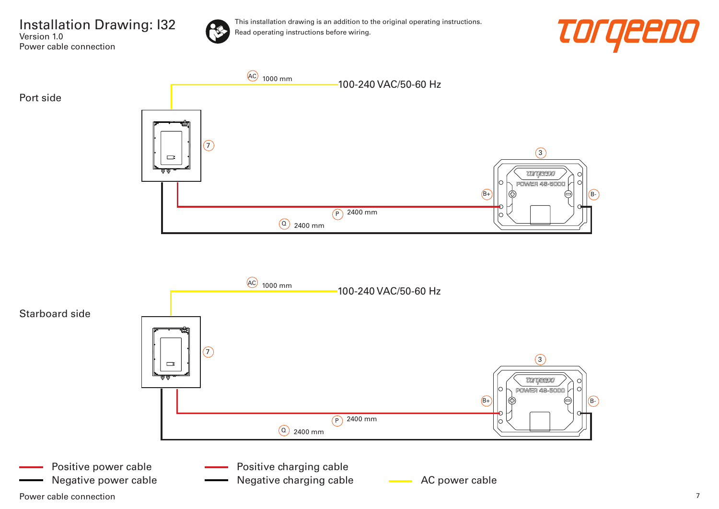

Version 1.0

Power cable connection

This installation drawing is an addition to the original operating instructions. Read operating instructions before wiring.